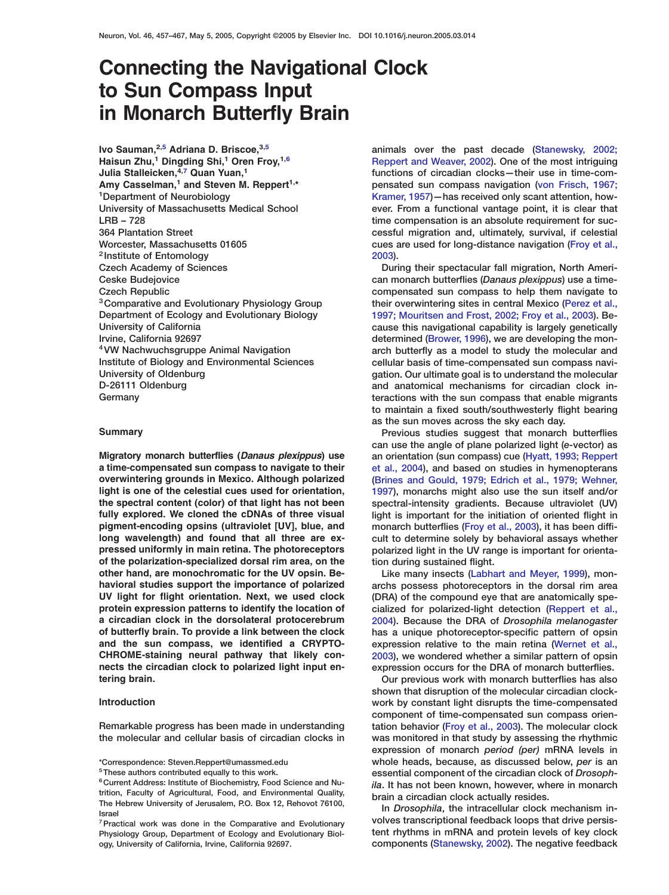# **Connecting the Navigational Clock to Sun Compass Input in Monarch Butterfly Brain**

<sup>2</sup> Institute of Entomology [2003](#page-9-0)). Czech Academy of Sciences **During their spectacular fall migration**, North Ameri-

**a time-compensated sun compass to navigate to their** [et al., 2004](#page-9-0)), and based on studies in hymenopterans **overwintering grounds in Mexico. Although polarized** [\(Brines and Gould, 1979; Edrich et al., 1979; Wehner,](#page-9-0) **light is one of the celestial cues used for orientation,** [1997](#page-9-0)), monarchs might also use the sun itself and/or **the spectral content (color) of that light has not been** spectral-intensity gradients. Because ultraviolet (UV) fully explored. We cloned the cDNAs of three visual light is important for the initiation of oriented flight in **pigment-encoding opsins (ultraviolet [UV], blue, and** monarch butterflies [\(Froy et al., 2003\)](#page-9-0), it has been diffi**long wavelength) and found that all three are ex-** cult to determine solely by behavioral assays whether **pressed uniformly in main retina. The photoreceptors** polarized light in the UV range is important for orienta**of the polarization-specialized dorsal rim area, on the** tion during sustained flight. **other hand, are monochromatic for the UV opsin. Be-** Like many insects [\(Labhart and Meyer, 1999\)](#page-10-0), mon**havioral studies support the importance of polarized** archs possess photoreceptors in the dorsal rim area **UV light for flight orientation. Next, we used clock** (DRA) of the compound eye that are anatomically spe**protein expression patterns to identify the location of** cialized for polarized-light detection [\(Reppert et al.,](#page-10-0) **a circadian clock in the dorsolateral protocerebrum** [2004](#page-10-0)). Because the DRA of *Drosophila melanogaster* **of butterfly brain. To provide a link between the clock** has a unique photoreceptor-specific pattern of opsin **and the sun compass, we identified a CRYPTO-** expression relative to the main retina [\(Wernet et al.,](#page-10-0) **CHROME-staining neural pathway that likely con-** [2003](#page-10-0)), we wondered whether a similar pattern of opsin **nects the circadian clock to polarized light input en-** expression occurs for the DRA of monarch butterflies.

**Ivo Sauman,**<sup>[2,5](#page-0-0)</sup> Adriana D. Briscoe,<sup>[3,5](#page-0-0)</sup> animals over the past decade [\(Stanewsky, 2002;](#page-10-0) **Haisun Zhu, 1 Dingding Shi, 1 Oren Froy,**  $1,6$  **1 Dinamate 1 Dinamate [Reppert and Weaver, 2002\)](#page-10-0). One of the most intriguing Julia Stalleicken,**<sup>[4,7](#page-0-0)</sup> Quan Yuan,<sup>1</sup> **19, 2006 10 11** functions of circadian clocks—their use in time-com-**Amy Casselman,<sup>1</sup> and Steven M. Reppert<sup>1,\*</sup>** *pensated sun compass navigation [\(von Frisch, 1967;](#page-10-0)**1967)* <sup>1</sup>Department of Neurobiology **Kramer, 1957**)—has received only scant attention, how-University of Massachusetts Medical School ever. From a functional vantage point, it is clear that LRB – 728 time compensation is an absolute requirement for suc-364 Plantation Street cessful migration and, ultimately, survival, if celestial Worcester, Massachusetts 01605 cues are used for long-distance navigation [\(Froy et al.,](#page-9-0)

Ceske Budejovice can monarch butterflies (*Danaus plexippus*) use a time-Czech Republic compensated sun compass to help them navigate to <sup>3</sup> Comparative and Evolutionary Physiology Group their overwintering sites in central Mexico [\(Perez et al.,](#page-10-0) Department of Ecology and Evolutionary Biology [1997; Mouritsen and Frost, 2002; Froy et al., 2003](#page-10-0)). Be-University of California **cause this navigational capability is largely genetically** Irvine, California 92697 determined [\(Brower, 1996\)](#page-9-0), we are developing the mon- <sup>4</sup>VW Nachwuchsgruppe Animal Navigation arch butterfly as a model to study the molecular and Institute of Biology and Environmental Sciences cellular basis of time-compensated sun compass navi-University of Oldenburg example and the molecular gation. Our ultimate goal is to understand the molecular D-26111 Oldenburg example and anatomical mechanisms for circadian clock inand anatomical mechanisms for circadian clock in-Germany **Example 2** Germany teractions with the sun compass that enable migrants to maintain a fixed south/southwesterly flight bearing as the sun moves across the sky each day.

**Summary** Previous studies suggest that monarch butterflies can use the angle of plane polarized light (*e-*vector) as **Migratory monarch butterflies (Danaus plexippus) use** an orientation (sun compass) cue [\(Hyatt, 1993; Reppert](#page-9-0)

**tering brain.** Our previous work with monarch butterflies has also shown that disruption of the molecular circadian clock-**Introduction** work by constant light disrupts the time-compensated component of time-compensated sun compass orien-Remarkable progress has been made in understanding tation behavior [\(Froy et al., 2003\)](#page-9-0). The molecular clock the molecular and cellular basis of circadian clocks in was monitored in that study by assessing the rhythmic expression of monarch *period (per)* mRNA levels in \*Correspondence: Steven.Reppert@umassmed.edu whole heads, because, as discussed below, *per* is an  $\frac{1}{6}$ These authors contributed equally to this work.<br>  $\frac{1}{6}$  essential component of the circadian clock of Drosoph-<br>  $\frac{1}{6}$  Current Address: Institute of Biochemistry, Food Science and Nu-<br>
trition, Faculty of A

<sup>7</sup> Practical work was done in the Comparative and Evolutionary **Dumetan Volves transcriptional feedback loops that drive persis-**Physiology Group, Department of Ecology and Evolutionary Biol- tent rhythms in mRNA and protein levels of key clock

trition, Faculty of Agricultural, Food, and Environmental Quality,<br>The Hebrew University of Jerusalem, P.O. Box 12, Rehovot 76100, <br>In Drosophila, the intracellular clock mechanism in-

<span id="page-0-0"></span>ogy, University of California, Irvine, California 92697. components [\(Stanewsky, 2002\)](#page-10-0). The negative feedback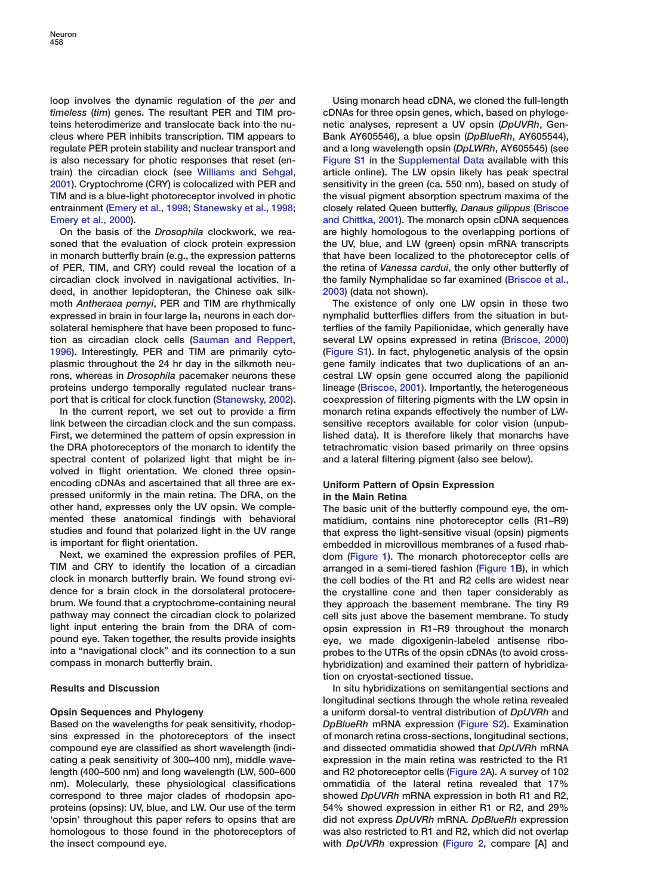loop involves the dynamic regulation of the *per* and Using monarch head cDNA, we cloned the full-length *timeless* (*tim*) genes. The resultant PER and TIM pro- cDNAs for three opsin genes, which, based on phylogeteins heterodimerize and translocate back into the nu- netic analyses, represent a UV opsin (*DpUVRh*, Gencleus where PER inhibits transcription. TIM appears to Bank AY605546), a blue opsin (*DpBlueRh*, AY605544), regulate PER protein stability and nuclear transport and and a long wavelength opsin (*DpLWRh*, AY605545) (see is also necessary for photic responses that reset (en- Figure S1 in the Supplemental Data available with this train) the circadian clock (see [Williams and Sehgal,](#page-10-0) article online**)**. The LW opsin likely has peak spectral [2001\)](#page-10-0). Cryptochrome (CRY) is colocalized with PER and sensitivity in the green (ca. 550 nm), based on study of TIM and is a blue-light photoreceptor involved in photic the visual pigment absorption spectrum maxima of the entrainment [\(Emery et al., 1998; Stanewsky et al., 1998;](#page-9-0) closely related Queen butterfly, *Danaus gilippus* [\(Briscoe](#page-9-0) [Emery et al., 2000](#page-9-0)). **Emery et al., 2000**. **[and Chittka, 2001](#page-9-0)**). The monarch opsin cDNA sequences

soned that the evaluation of clock protein expression the UV, blue, and LW (green) opsin mRNA transcripts in monarch butterfly brain (e.g., the expression patterns that have been localized to the photoreceptor cells of of PER, TIM, and CRY) could reveal the location of a the retina of *Vanessa cardui*, the only other butterfly of circadian clock involved in navigational activities. In- the family Nymphalidae so far examined [\(Briscoe et al.,](#page-9-0) deed, in another lepidopteran, the Chinese oak silk- [2003](#page-9-0)) (data not shown). moth *Antheraea pernyi*, PER and TIM are rhythmically The existence of only one LW opsin in these two expressed in brain in four large  $Ia_1$  neurons in each dor- nymphalid butterflies differs from the situation in butsolateral hemisphere that have been proposed to func-<br>terflies of the family Papilionidae, which generally have tion as circadian clock cells [\(Sauman and Reppert,](#page-10-0) several LW opsins expressed in retina [\(Briscoe, 2000](#page-9-0)) [1996\)](#page-10-0). Interestingly, PER and TIM are primarily cyto- (Figure S1). In fact, phylogenetic analysis of the opsin plasmic throughout the 24 hr day in the silkmoth neu- gene family indicates that two duplications of an anrons, whereas in *Drosophila* pacemaker neurons these cestral LW opsin gene occurred along the papilionid proteins undergo temporally regulated nuclear trans- lineage [\(Briscoe, 2001\)](#page-9-0). Importantly, the heterogeneous port that is critical for clock function [\(Stanewsky, 2002\)](#page-10-0). coexpression of filtering pigments with the LW opsin in

link between the circadian clock and the sun compass. sensitive receptors available for color vision (unpub-First, we determined the pattern of opsin expression in lished data). It is therefore likely that monarchs have the DRA photoreceptors of the monarch to identify the tetrachromatic vision based primarily on three opsins spectral content of polarized light that might be in- and a lateral filtering pigment (also see below). volved in flight orientation. We cloned three opsinencoding cDNAs and ascertained that all three are ex- **Uniform Pattern of Opsin Expression** pressed uniformly in the main retina. The DRA, on the **in the Main Retina** other hand, expresses only the UV opsin. We comple- The basic unit of the butterfly compound eye, the ommented these anatomical findings with behavioral matidium, contains nine photoreceptor cells (R1–R9) studies and found that polarized light in the UV range that express the light-sensitive visual (opsin) pigments

Next, we examined the expression profiles of PER, dom [\(Figure 1](#page-2-0)). The monarch photoreceptor cells are<br>TIM and CRY to identify the location of a circadian arranged in a semi-tiered fashion (Figure 1B) in which TIM and CRY to identify the location of a circadian arranged in a semi-tiered fashion [\(Figure 1B](#page-2-0)), in which<br>Clock in monarch butterfly brain. We found strong evi-<br>the cell bodies of the R1 and R2 cells are widest near clock in monarch butterfly brain. We found strong evi-<br>dence for a brain clock in the dorsolateral protocere-<br>the crystalline cone and then taper considerably as dence for a brain clock in the dorsolateral protocere-<br>brum. We found that a cryptochrome-containing neural they approach the basement membrane. The tiny R9 pathway may connect the circadian clock to polarized cell sits just above the basement membrane. To study light input entering the brain from the DRA of com-<br>
pound eve. Taken together, the results provide insights are we made digoxinenin-labeled antisense ribopound eye. Taken together, the results provide insights eye, we made digoxigenin-labeled antisense ribo-<br>into a "navigational clock" and its connection to a sun enrobes to the UTRs of the opsin cDNAs (to avoid cross into a "navigational clock" and its connection to a sun probes to the UTRs of the opsin cDNAs (to avoid cross-<br>compass in monarch butterfly brain.

Based on the wavelengths for peak sensitivity, rhodop- *DpBlueRh* mRNA expression (Figure S2). Examination sins expressed in the photoreceptors of the insect of monarch retina cross-sections, longitudinal sections, compound eye are classified as short wavelength (indi- and dissected ommatidia showed that *DpUVRh* mRNA cating a peak sensitivity of 300–400 nm), middle wave- expression in the main retina was restricted to the R1 length (400–500 nm) and long wavelength (LW, 500–600 and R2 photoreceptor cells [\(Figure 2A](#page-2-0)). A survey of 102 nm). Molecularly, these physiological classifications ommatidia of the lateral retina revealed that 17% correspond to three major clades of rhodopsin apo- showed *DpUVRh* mRNA expression in both R1 and R2, proteins (opsins): UV, blue, and LW. Our use of the term 54% showed expression in either R1 or R2, and 29% 'opsin' throughout this paper refers to opsins that are did not express *DpUVRh* mRNA. *DpBlueRh* expression homologous to those found in the photoreceptors of was also restricted to R1 and R2, which did not overlap the insect compound eye. with *DpUVRh* expression [\(Figure 2,](#page-2-0) compare [A] and

On the basis of the *Drosophila* clockwork, we rea- are highly homologous to the overlapping portions of

In the current report, we set out to provide a firm monarch retina expands effectively the number of LW-

is important for flight orientation.<br>Next, we examined the expression profiles of PER, dom (Figure 1) The monarch photoreceptor cells are they approach the basement membrane. The tiny R9 hybridization) and examined their pattern of hybridization on cryostat-sectioned tissue.

**Results and Discussion In situ hybridizations on semitangential sections and** In situ hybridizations on semitangential sections and longitudinal sections through the whole retina revealed **Opsin Sequences and Phylogeny a uniform dorsal-to ventral distribution of** *DpUVRh* **and**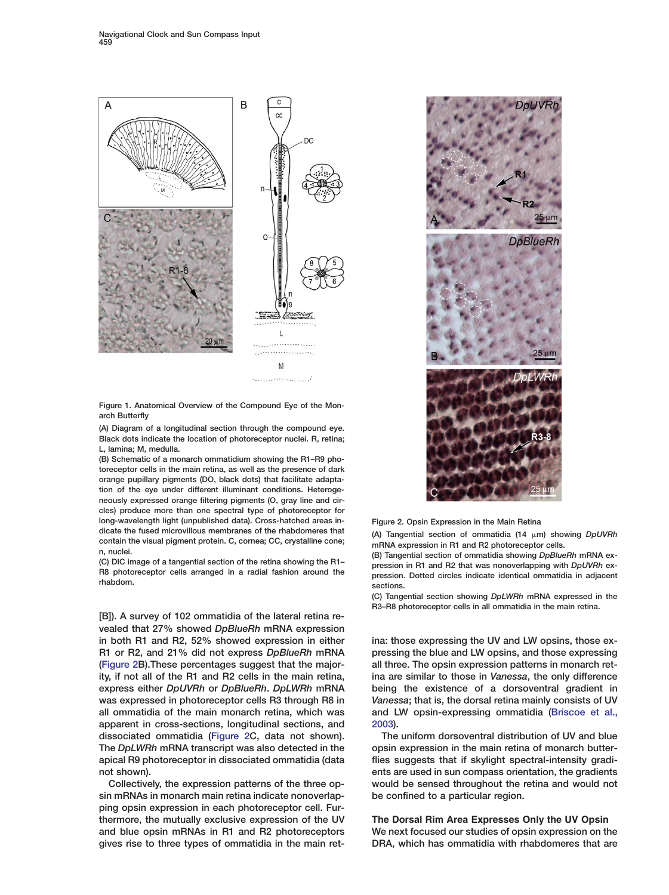

Figure 1. Anatomical Overview of the Compound Eye of the Monarch Butterfly

(A) Diagram of a longitudinal section through the compound eye. Black dots indicate the location of photoreceptor nuclei. R, retina; L, lamina; M, medulla.

(B) Schematic of a monarch ommatidium showing the R1–R9 photoreceptor cells in the main retina, as well as the presence of dark orange pupillary pigments (DO, black dots) that facilitate adaptation of the eye under different illuminant conditions. Heterogeneously expressed orange filtering pigments (O, gray line and circles) produce more than one spectral type of photoreceptor for long-wavelength light (unpublished data). Cross-hatched areas indicate the fused microvillous membranes of the rhabdomeres that dicate the fused microvillous membranes of the rhabdomeres that<br>
contain the visual pigment protein. C, cornea; CC, crystalline cone;<br>
n, nuclei.<br>
(C) DIC image of a tangential section of the retina showing the R1-<br>
(C) D

[B]). A survey of 102 ommatidia of the lateral retina revealed that 27% showed *DpBlueRh* mRNA expression in both R1 and R2, 52% showed expression in either ina: those expressing the UV and LW opsins, those ex-R1 or R2, and 21% did not express *DpBlueRh* mRNA pressing the blue and LW opsins, and those expressing [\(Figure 2B](#page-2-0)).These percentages suggest that the major- all three. The opsin expression patterns in monarch retity, if not all of the R1 and R2 cells in the main retina, ina are similar to those in *Vanessa*, the only difference express either *DpUVRh* or *DpBlueRh*. *DpLWRh* mRNA being the existence of a dorsoventral gradient in was expressed in photoreceptor cells R3 through R8 in *Vanessa*; that is, the dorsal retina mainly consists of UV all ommatidia of the main monarch retina, which was and LW opsin-expressing ommatidia [\(Briscoe et al.,](#page-9-0) apparent in cross-sections, longitudinal sections, and [2003](#page-9-0)). dissociated ommatidia [\(Figure 2C](#page-2-0), data not shown). The uniform dorsoventral distribution of UV and blue The *DpLWRh* mRNA transcript was also detected in the opsin expression in the main retina of monarch butterapical R9 photoreceptor in dissociated ommatidia (data flies suggests that if skylight spectral-intensity gradinot shown). ents are used in sun compass orientation, the gradients

<span id="page-2-0"></span>sin mRNAs in monarch main retina indicate nonoverlap- be confined to a particular region. ping opsin expression in each photoreceptor cell. Furthermore, the mutually exclusive expression of the UV **The Dorsal Rim Area Expresses Only the UV Opsin** and blue opsin mRNAs in R1 and R2 photoreceptors We next focused our studies of opsin expression on the gives rise to three types of ommatidia in the main ret- DRA, which has ommatidia with rhabdomeres that are



Figure 2. Opsin Expression in the Main Retina

(C) DIC image of a tangential section of the retina showing the H1-<br>R8 photoreceptor cells arranged in a radial fashion around the rhabdom.<br>
rhabdom.<br>
sections.

(C) Tangential section showing *DpLWRh* mRNA expressed in the R3–R8 photoreceptor cells in all ommatidia in the main retina.

Collectively, the expression patterns of the three op- would be sensed throughout the retina and would not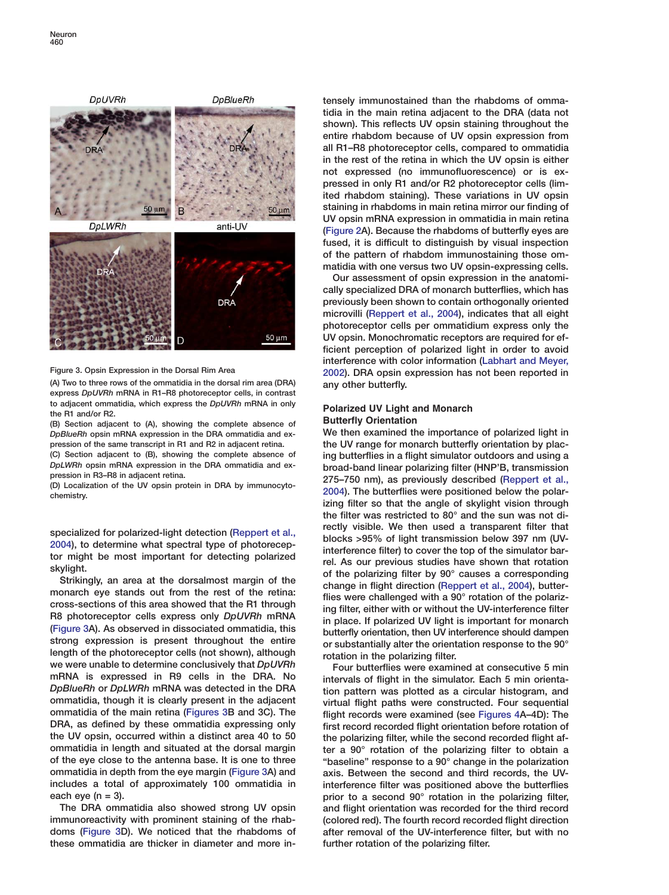

(A) Two to three rows of the ommatidia in the dorsal rim area (DRA) any other butterfly. express *DpUVRh* mRNA in R1–R8 photoreceptor cells, in contrast to adjacent ommatidia, which express the *DpUVRh* mRNA in only<br>the R1 and/or R2.<br>(B) Soction adjacent to (A) showing the complete absence of **Butterfly Orientation** 

(B) Section adjacent to (A), showing the complete absence of **Butterfly Orientation**<br>DaBlueBh opsin mRNA expression in the DRA ommatidia and ex- We then examined the importance of polarized light in *DpBlueRh* opsin mRNA expression in the DRA ommatidia and expression of the same transcript in R1 and R2 in adjacent retina. the UV range for monarch butterfly orientation by plac- (C) Section adjacent to (B), showing the complete absence of ing butterflies in a flight simulator outdoors and using a<br>DpLWRh opsin mRNA expression in the DRA ommatidia and ex-<br>prographend-band linear polarizing filter (H

we were unable to determine conclusively that *DpUVRn*<br>intervals of flight in the simulator. Each 5 min orienta-<br>*DpBlueRh* or *DpLWRh* mRNA was detected in the DRA tion pattern was plotted as a circular histogram, and ommatidia, though it is clearly present in the adjacent virtual flight paths were constructed. Four sequential<br>ommatidia of the main retina (Figures 3B and 3C). The flight records were examined (see Figures 4A–4D). The ommatidia of the main retina [\(Figures 3B](#page-3-0) and 3C). The flight records were examined (see [Figures 4A](#page-4-0)–4D): The DRA, as defined by these ommatidia expressing only DRA, as defined by these ommatidia expressing only first record recorded flight orientation before rotation of<br>the UV opsin, occurred within a distinct area 40 to 50 file polarizing filter, while the second recorded flight the UV opsin, occurred within a distinct area 40 to 50 the polarizing filter, while the second recorded flight af-<br>ommatidia in length and situated at the dorsal margin the r a 90° rotation of the polarizing filter to obta of the eye close to the antenna base. It is one to three "baseline" response to a 90° change in the polarization ommatidia in depth from the eye margin [\(Figure 3A](#page-3-0)) and axis. Between the second and third records, the UVincludes a total of approximately 100 ommatidia in interference filter was positioned above the butterflies each eye ( $n = 3$ ). **prior to a second 90° rotation in the polarizing filter,** 

<span id="page-3-0"></span>immunoreactivity with prominent staining of the rhab- (colored red). The fourth record recorded flight direction doms [\(Figure 3D](#page-3-0)). We noticed that the rhabdoms of after removal of the UV-interference filter, but with no these ommatidia are thicker in diameter and more in- further rotation of the polarizing filter.

tensely immunostained than the rhabdoms of ommatidia in the main retina adjacent to the DRA (data not shown). This reflects UV opsin staining throughout the entire rhabdom because of UV opsin expression from all R1–R8 photoreceptor cells, compared to ommatidia in the rest of the retina in which the UV opsin is either not expressed (no immunofluorescence) or is expressed in only R1 and/or R2 photoreceptor cells (limited rhabdom staining). These variations in UV opsin staining in rhabdoms in main retina mirror our finding of UV opsin mRNA expression in ommatidia in main retina [\(Figure 2](#page-2-0)A). Because the rhabdoms of butterfly eyes are fused, it is difficult to distinguish by visual inspection of the pattern of rhabdom immunostaining those ommatidia with one versus two UV opsin-expressing cells.

Our assessment of opsin expression in the anatomically specialized DRA of monarch butterflies, which has previously been shown to contain orthogonally oriented microvilli [\(Reppert et al., 2004\)](#page-10-0), indicates that all eight photoreceptor cells per ommatidium express only the UV opsin. Monochromatic receptors are required for efficient perception of polarized light in order to avoid interference with color information [\(Labhart and Meyer,](#page-10-0) Figure 3. Opsin Expression in the Dorsal Rim Area [2002](#page-10-0)). DRA opsin expression has not been reported in

DpLWRh opsin mRNA expression in the DRA ommatidia and ex-<br>pression in R3–R8 in adjacent retina.<br>(D) Localization of the UV opsin protein in DRA by immunocyto-<br>chemistry. [2004](#page-10-0)). The butterflies were positioned below the pol izing filter so that the angle of skylight vision through the filter was restricted to 80° and the sun was not di-specialized for polarized-light detection [\(Reppert et al.,](#page-10-0)<br> [2004\)](#page-10-0), to determine what spectral type of photorecep-<br>
interference filter) to cover the top of light than smission below 397 mm (UV-<br>
tor might be most importan

ter a 90° rotation of the polarizing filter to obtain a The DRA ommatidia also showed strong UV opsin and flight orientation was recorded for the third record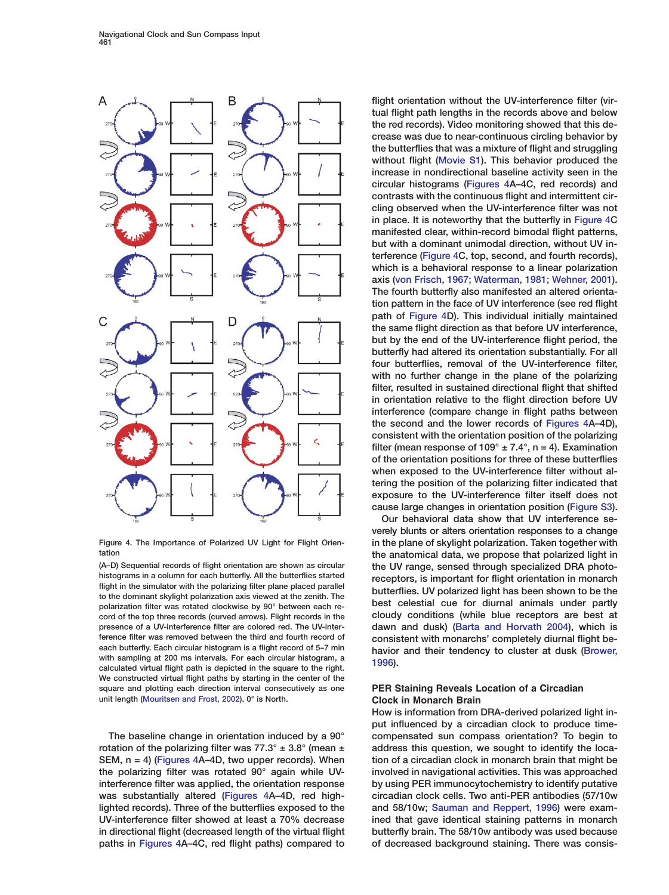

histograms in a column for each butterfly. All the butterflies started<br>
flight in the simulator with the polarizing filter plane placed parallel<br>
to the dominant skylight polarization axis viewed at the zenith. The<br>
polari cord of the top three records (curved arrows). Flight records in the cloudy conditions (while blue receptors are best at presence of a UV-interference filter are colored red. The UV-inter- dawn and dusk) [\(Barta and Horvath 2004](#page-9-0)), which is ference filter was removed between the third and fourth record of consistent with monarchs' completely diurnal flight be-<br>each butterfly. Each circular histogram is a flight record of 5-7 min each butterfly. Each circular histogram is a flight record of 5–7 min<br>with sampling at 200 ms intervals. For each circular histogram, a<br>calculated virtual flight path is depicted in the square to the right. [1996](#page-9-0)). We constructed virtual flight paths by starting in the center of the square and plotting each direction interval consecutively as one **PER Staining Reveals Location of a Circadian** unit length [\(Mouritsen and Frost, 2002\)](#page-9-0). 0° is North. **Clock in Monarch Brain**

<span id="page-4-0"></span>rotation of the polarizing filter was 77.3°  $\pm$  3.8° (mean  $\pm$  address this question, we sought to identify the loca-SEM,  $n = 4$ ) [\(Figures 4A](#page-4-0)–4D, two upper records). When tion of a circadian clock in monarch brain that might be the polarizing filter was rotated 90° again while UV- involved in navigational activities. This was approached interference filter was applied, the orientation response by using PER immunocytochemistry to identify putative was substantially altered [\(Figures 4A](#page-4-0)–4D, red high- circadian clock cells. Two anti-PER antibodies (57/10w lighted records). Three of the butterflies exposed to the and 58/10w; [Sauman and Reppert, 1996\)](#page-10-0) were exam-UV-interference filter showed at least a 70% decrease ined that gave identical staining patterns in monarch in directional flight (decreased length of the virtual flight butterfly brain. The 58/10w antibody was used because paths in [Figures 4A](#page-4-0)–4C, red flight paths) compared to of decreased background staining. There was consis-

flight orientation without the UV-interference filter (virtual flight path lengths in the records above and below the red records). Video monitoring showed that this decrease was due to near-continuous circling behavior by the butterflies that was a mixture of flight and struggling without flight (Movie S1). This behavior produced the increase in nondirectional baseline activity seen in the circular histograms [\(Figures 4A](#page-4-0)–4C, red records) and contrasts with the continuous flight and intermittent circling observed when the UV-interference filter was not in place. It is noteworthy that the butterfly in [Figure 4](#page-4-0)C manifested clear, within-record bimodal flight patterns, but with a dominant unimodal direction, without UV interference [\(Figure 4C](#page-4-0), top, second, and fourth records), which is a behavioral response to a linear polarization axis [\(von Frisch, 1967; Waterman, 1981; Wehner, 2001\)](#page-10-0). The fourth butterfly also manifested an altered orientation pattern in the face of UV interference (see red flight path of [Figure 4D](#page-4-0)). This individual initially maintained the same flight direction as that before UV interference, but by the end of the UV-interference flight period, the butterfly had altered its orientation substantially. For all four butterflies, removal of the UV-interference filter, with no further change in the plane of the polarizing filter, resulted in sustained directional flight that shifted in orientation relative to the flight direction before UV interference (compare change in flight paths between the second and the lower records of [Figures 4A](#page-4-0)–4D), consistent with the orientation position of the polarizing filter (mean response of  $109^\circ \pm 7.4^\circ$ , n = 4). Examination of the orientation positions for three of these butterflies when exposed to the UV-interference filter without altering the position of the polarizing filter indicated that exposure to the UV-interference filter itself does not cause large changes in orientation position (Figure S3).

Our behavioral data show that UV interference severely blunts or alters orientation responses to a change Figure 4. The Importance of Polarized UV Light for Flight Orien- in the plane of skylight polarization. Taken together with tation the anatomical data, we propose that polarized light in (A–D) Sequential records of flight orientation are shown as circular the UV range, sensed through specialized DRA photo-<br>histograms in a column for each butterfly. All the butterflies started recorders is important for fli

How is information from DRA-derived polarized light input influenced by a circadian clock to produce time-The baseline change in orientation induced by a 90° compensated sun compass orientation? To begin to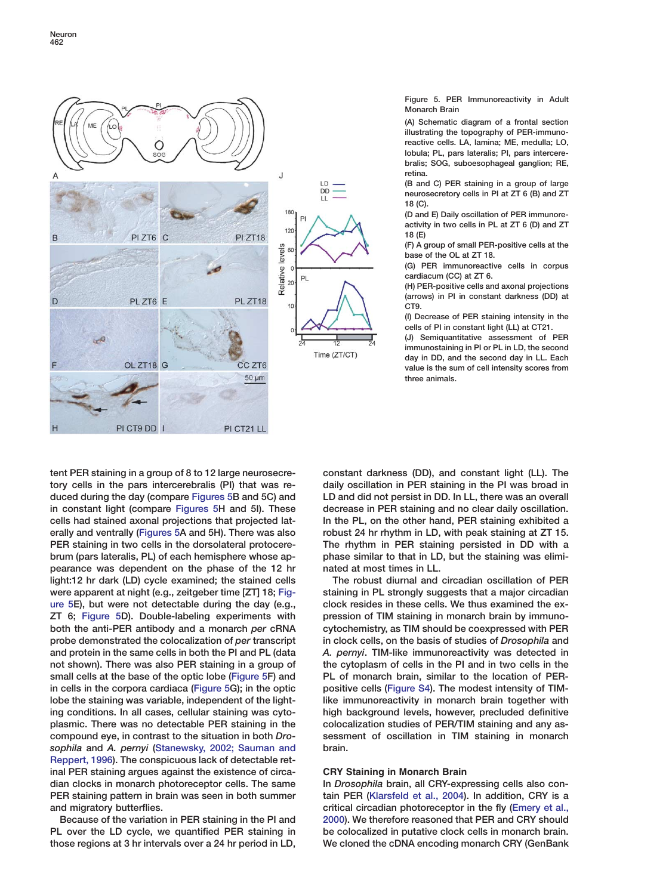

Figure 5. PER Immunoreactivity in Adult Monarch Brain

(A) Schematic diagram of a frontal section illustrating the topography of PER-immunoreactive cells. LA, lamina; ME, medulla; LO, lobula; PL, pars lateralis; PI, pars intercerebralis; SOG, suboesophageal ganglion; RE, retina.

(B and C) PER staining in a group of large neurosecretory cells in PI at ZT 6 (B) and ZT 18 (C).

(D and E) Daily oscillation of PER immunoreactivity in two cells in PL at ZT 6 (D) and ZT 18 (E)

(F) A group of small PER-positive cells at the base of the OL at ZT 18.

(G) PER immunoreactive cells in corpus cardiacum (CC) at ZT 6.

(H) PER-positive cells and axonal projections (arrows) in PI in constant darkness (DD) at CT9.

(I) Decrease of PER staining intensity in the cells of PI in constant light (LL) at CT21.

(J) Semiquantitative assessment of PER immunostaining in PI or PL in LD, the second day in DD, and the second day in LL. Each value is the sum of cell intensity scores from three animals.

tent PER staining in a group of 8 to 12 large neurosecre- constant darkness (DD), and constant light (LL). The tory cells in the pars intercerebralis (PI) that was re- daily oscillation in PER staining in the PI was broad in duced during the day (compare [Figures 5B](#page-5-0) and 5C) and LD and did not persist in DD. In LL, there was an overall in constant light (compare [Figures 5H](#page-5-0) and 5I). These decrease in PER staining and no clear daily oscillation. cells had stained axonal projections that projected lat- In the PL, on the other hand, PER staining exhibited a erally and ventrally [\(Figures 5A](#page-5-0) and 5H). There was also robust 24 hr rhythm in LD, with peak staining at ZT 15. PER staining in two cells in the dorsolateral protocere-<br>The rhythm in PER staining persisted in DD with a brum (pars lateralis, PL) of each hemisphere whose ap- phase similar to that in LD, but the staining was elimipearance was dependent on the phase of the 12 hr nated at most times in LL. light:12 hr dark (LD) cycle examined; the stained cells The robust diurnal and circadian oscillation of PER were apparent at night (e.g., zeitgeber time [ZT] 18; [Fig-](#page-5-0) staining in PL strongly suggests that a major circadian [ure 5E](#page-5-0)), but were not detectable during the day (e.g., clock resides in these cells. We thus examined the ex-ZT 6; [Figure 5D](#page-5-0)). Double-labeling experiments with pression of TIM staining in monarch brain by immunoboth the anti-PER antibody and a monarch *per* cRNA cytochemistry, as TIM should be coexpressed with PER probe demonstrated the colocalization of *per* transcript in clock cells, on the basis of studies of *Drosophila* and and protein in the same cells in both the PI and PL (data *A. pernyi*. TIM-like immunoreactivity was detected in not shown). There was also PER staining in a group of the cytoplasm of cells in the PI and in two cells in the small cells at the base of the optic lobe [\(Figure 5F](#page-5-0)) and PL of monarch brain, similar to the location of PERin cells in the corpora cardiaca [\(Figure 5G](#page-5-0)); in the optic positive cells (Figure S4). The modest intensity of TIMlobe the staining was variable, independent of the light-<br>like immunoreactivity in monarch brain together with ing conditions. In all cases, cellular staining was cyto- high background levels, however, precluded definitive plasmic. There was no detectable PER staining in the colocalization studies of PER/TIM staining and any ascompound eye, in contrast to the situation in both *Dro-* sessment of oscillation in TIM staining in monarch *sophila* and *A. pernyi* [\(Stanewsky, 2002; Sauman and](#page-10-0) brain. [Reppert, 1996](#page-10-0)). The conspicuous lack of detectable retinal PER staining argues against the existence of circa- **CRY Staining in Monarch Brain** dian clocks in monarch photoreceptor cells. The same In *Drosophila* brain, all CRY-expressing cells also con-PER staining pattern in brain was seen in both summer tain PER [\(Klarsfeld et al., 2004\)](#page-9-0). In addition, CRY is a

<span id="page-5-0"></span>PL over the LD cycle, we quantified PER staining in be colocalized in putative clock cells in monarch brain. those regions at 3 hr intervals over a 24 hr period in LD, We cloned the cDNA encoding monarch CRY (GenBank

and migratory butterflies. critical circadian photoreceptor in the fly [\(Emery et al.,](#page-9-0) Because of the variation in PER staining in the PI and [2000](#page-9-0)). We therefore reasoned that PER and CRY should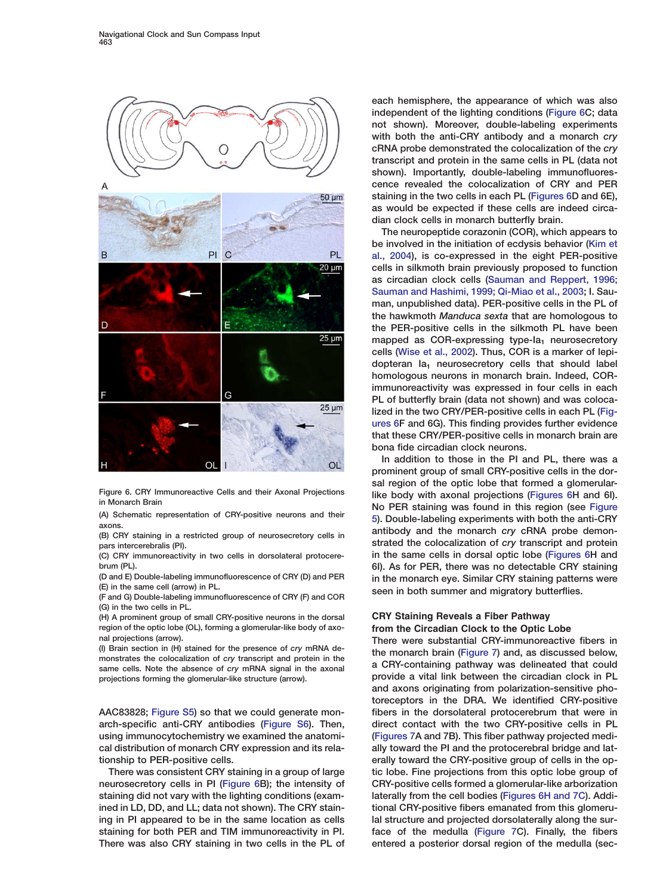

(C) CRY immunoreactivity in two cells in dorsolateral protocere-

(G) in the two cells in PL.

(H) A prominent group of small CRY-positive neurons in the dorsal **CRY Staining Reveals a Fiber Pathway** region of the optic lobe (OL), forming a glomerular-like body of axo- **from the Circadian Clock to the Optic Lobe**

<span id="page-6-0"></span>neurosecretory cells in PI [\(Figure 6B](#page-6-0)); the intensity of CRY-positive cells formed a glomerular-like arborization staining did not vary with the lighting conditions (exam- laterally from the cell bodies [\(Figures 6H and 7C](#page-6-0)). Addiined in LD, DD, and LL; data not shown). The CRY stain- tional CRY-positive fibers emanated from this glomeruing in PI appeared to be in the same location as cells lal structure and projected dorsolaterally along the surstaining for both PER and TIM immunoreactivity in PI. face of the medulla [\(Figure 7C](#page-7-0)). Finally, the fibers There was also CRY staining in two cells in the PL of entered a posterior dorsal region of the medulla (sec-

each hemisphere, the appearance of which was also independent of the lighting conditions [\(Figure 6C](#page-6-0); data not shown). Moreover, double-labeling experiments with both the anti-CRY antibody and a monarch *cry* cRNA probe demonstrated the colocalization of the *cry* transcript and protein in the same cells in PL (data not shown). Importantly, double-labeling immunofluorescence revealed the colocalization of CRY and PER staining in the two cells in each PL [\(Figures 6](#page-6-0)D and 6E), as would be expected if these cells are indeed circadian clock cells in monarch butterfly brain.

The neuropeptide corazonin (COR), which appears to be involved in the initiation of ecdysis behavior [\(Kim et](#page-9-0) [al., 2004\)](#page-9-0), is co-expressed in the eight PER-positive cells in silkmoth brain previously proposed to function as circadian clock cells [\(Sauman and Reppert, 1996;](#page-10-0) [Sauman and Hashimi, 1999; Qi-Miao et al., 2003;](#page-10-0) I. Sauman, unpublished data). PER-positive cells in the PL of the hawkmoth *Manduca sexta* that are homologous to the PER-positive cells in the silkmoth PL have been mapped as COR-expressing type- $Ia_1$  neurosecretory cells [\(Wise et al., 2002\)](#page-10-0). Thus, COR is a marker of lepidopteran  $Ia_1$  neurosecretory cells that should label homologous neurons in monarch brain. Indeed, CORimmunoreactivity was expressed in four cells in each PL of butterfly brain (data not shown) and was colocalized in the two CRY/PER-positive cells in each PL [\(Fig](#page-6-0)[ures 6](#page-6-0)F and 6G). This finding provides further evidence that these CRY/PER-positive cells in monarch brain are bona fide circadian clock neurons.

In addition to those in the PI and PL, there was a prominent group of small CRY-positive cells in the dorsal region of the optic lobe that formed a glomerular-Figure 6. CRY Immunoreactive Cells and their Axonal Projections like body with axonal projections [\(Figures 6H](#page-6-0) and 6I). The Montatch Brain<br>
(A) Schematic representation of CRY-positive neurons and their<br>
(A) Schematic representation of CRY-positive neurons and their<br>
(B) CRY staining in a restricted group of neurosecretory cells in antibody pars intercerebralis (PI).<br>
(C) CRY immunoreactivity in two cells in dorsolateral protocere-<br>
in the same cells in dorsal optic lobe (Figures 6H and brum (PL).<br>(D and E) Double-labeling immunofluorescence of CRY (D) and PER in the monarch eye. Similar CRY staining natterns were (D and E) Double-labeling immunofluorescence of CRY (D) and PER in the monarch eye. Similar CRY staining patterns were<br>(E) in the same cell (arrow) in PL.<br>(F and G) Double-labeling immunofluorescence of CRY (F) and COR see

nal projections (arrow).<br>(I) Brain section in (H) stained for the presence of cry mRNA de-<br>the monarch brain (Figure 7) and as discussed below (i) Brain section in (H) stained for the presence of cry mRNA de-<br>monstrates the colocalization of cry transcript and protein in the same cells. Note the absence of cry mRNA signal in the axonal a CRY-containing pathway w projections forming the glomerular-like structure (arrow). provide a vital link between the circadian clock in PL and axons originating from polarization-sensitive photoreceptors in the DRA. We identified CRY-positive AAC83828; Figure S5) so that we could generate mon- fibers in the dorsolateral protocerebrum that were in arch-specific anti-CRY antibodies (Figure S6). Then, direct contact with the two CRY-positive cells in PL using immunocytochemistry we examined the anatomi- [\(Figures 7A](#page-7-0) and 7B). This fiber pathway projected medical distribution of monarch CRY expression and its rela- ally toward the PI and the protocerebral bridge and lattionship to PER-positive cells. erally toward the CRY-positive group of cells in the op-There was consistent CRY staining in a group of large tic lobe. Fine projections from this optic lobe group of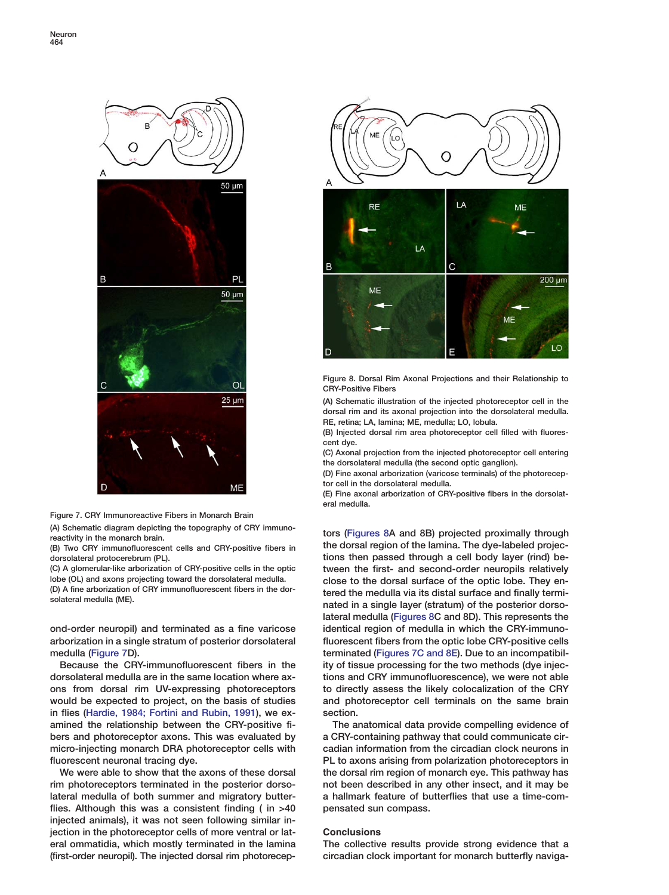



(A) Schematic diagram depicting the topography of CRY immuno- tors [\(Figures 8](#page-7-0)A and 8B) projected proximally through reactivity in the monarch brain.

dorsolateral protocerebrum (PL). tions then passed through a cell body layer (rind) be-

arborization in a single stratum of posterior dorsolateral fluorescent fibers from the optic lobe CRY-positive cells medulla [\(Figure 7](#page-7-0)D). terminated [\(Figures 7C and 8E\)](#page-7-0). Due to an incompatibil-

in flies [\(Hardie, 1984; Fortini and Rubin, 1991\)](#page-9-0), we ex- section. amined the relationship between the CRY-positive fi- The anatomical data provide compelling evidence of bers and photoreceptor axons. This was evaluated by a CRY-containing pathway that could communicate cirmicro-injecting monarch DRA photoreceptor cells with cadian information from the circadian clock neurons in

<span id="page-7-0"></span>rim photoreceptors terminated in the posterior dorso- not been described in any other insect, and it may be lateral medulla of both summer and migratory butter- a hallmark feature of butterflies that use a time-comflies. Although this was a consistent finding  $($  in  $>40$  pensated sun compass. injected animals), it was not seen following similar injection in the photoreceptor cells of more ventral or lat- **Conclusions** eral ommatidia, which mostly terminated in the lamina The collective results provide strong evidence that a (first-order neuropil). The injected dorsal rim photorecep- circadian clock important for monarch butterfly naviga-





Figure 8. Dorsal Rim Axonal Projections and their Relationship to CRY-Positive Fibers

(A) Schematic illustration of the injected photoreceptor cell in the dorsal rim and its axonal projection into the dorsolateral medulla. RE, retina; LA, lamina; ME, medulla; LO, lobula.

(B) Injected dorsal rim area photoreceptor cell filled with fluorescent dye.

(C) Axonal projection from the injected photoreceptor cell entering the dorsolateral medulla (the second optic ganglion).

(D) Fine axonal arborization (varicose terminals) of the photoreceptor cell in the dorsolateral medulla.

(E) Fine axonal arborization of CRY-positive fibers in the dorsolateral medulla.

the dorsal region of the lamina. The dye-labeled projec- (B) Two CRY immunofluorescent cells and CRY-positive fibers in (C) A glomerular-like arborization of CRY-positive cells in the optic tween the first- and second-order neuropils relatively<br>lobe (OL) and axons projecting toward the dorsolateral medulla. Close to the dorsal surface of th lobe (OL) and axons projecting toward the dorsolateral medulla.<br>(D) A fine arborization of CRY immunofluorescent fibers in the dor-<br>solateral medulla (ME).<br>nated in a single layer (stratum) of the posterior dorso-<br>nated in lateral medulla [\(Figures 8C](#page-7-0) and 8D). This represents the ond-order neuropil) and terminated as a fine varicose identical region of medulla in which the CRY-immuno-Because the CRY-immunofluorescent fibers in the ity of tissue processing for the two methods (dye injecdorsolateral medulla are in the same location where ax- tions and CRY immunofluorescence), we were not able ons from dorsal rim UV-expressing photoreceptors to directly assess the likely colocalization of the CRY would be expected to project, on the basis of studies and photoreceptor cell terminals on the same brain

fluorescent neuronal tracing dye. **PL to axons arising from polarization photoreceptors in** We were able to show that the axons of these dorsal the dorsal rim region of monarch eye. This pathway has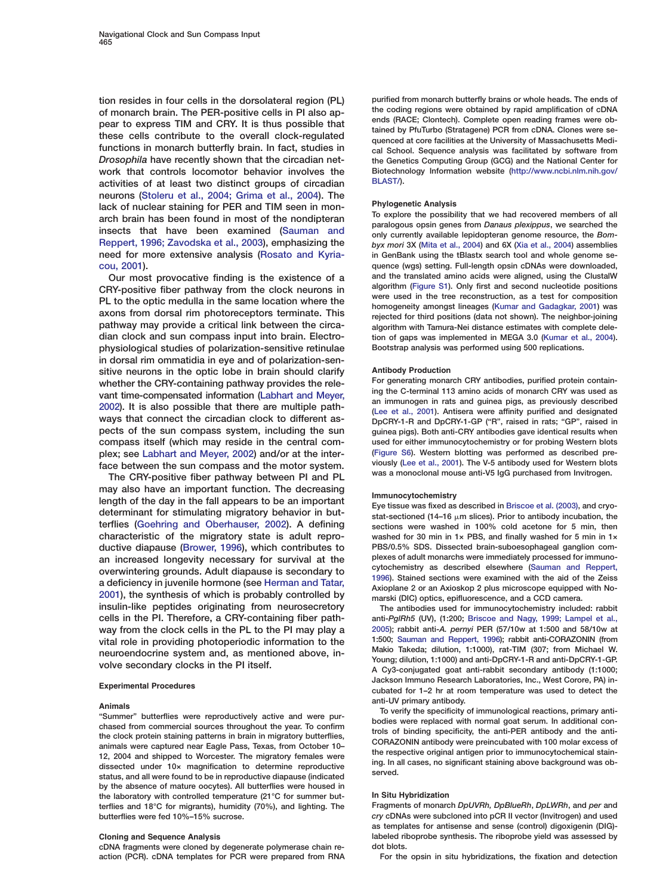of monarch brain. The PER-positive cells in PI also ap-<br>pear to express TIM and CRY. It is thus possible that<br>these cells contribute to the overall clock-regulated<br>these cells contribute to the overall clock-regulated<br>quen functions in monarch butterfly brain. In fact, studies in cal School. Sequence analysis was facilitated by software from *Drosophila* have recently shown that the circadian net- the Genetics Computing Group (GCG) and the National Center for work that controls locomotor behavior involves the Biotechnology Information website [\(http://www.ncbi.nlm.nih.gov/](http://www.ncbi.nlm.nih.gov/BLAST/)<br>activities of at least two distinct groups of circadian BLAST/). activities of at least two distinct groups of circadian neurons [\(Stoleru et al., 2004; Grima et al., 2004\)](#page-10-0). The lack of nuclear staining for PER and TIM seen in mon-<br>arch brain has been found in most of the nondipteran<br>insects that have been examined [\(Sauman and](#page-10-0) paralogous opsin genes from Danaus plexippus, we searched the<br>only curr [Reppert, 1996; Zavodska et al., 2003\)](#page-10-0), emphasizing the *byx mori* 3X [\(Mita et al., 2004\)](#page-10-0) and 6X [\(Xia et al., 2004\)](#page-10-0) assemblies need for more extensive analysis [\(Rosato and Kyria-](#page-10-0) in GenBank using the tBlastx search tool and whole genome se[cou, 2001\)](#page-10-0). quence (wgs) setting. Full-length opsin cDNAs were downloaded,

CRY-positive fiber pathway from the clock neurons in<br>
PL to the optic medulla in the same location where the<br>
axons from dorsal rim photoreceptors terminate. This<br>
pathway may provide a critical link between the circa-<br>
a dian clock and sun compass input into brain. Electro-<br>tion of gaps was implemented in MEGA 3.0 [\(Kumar et al., 2004\)](#page-10-0). physiological studies of polarization-sensitive retinulae Bootstrap analysis was performed using 500 replications. in dorsal rim ommatidia in eye and of polarization-sensitive neurons in the optic lobe in brain should clarify **Antibody Production**<br>whether the CBY-containing pathway provides the rele. For generating monarch CRY antibodies, purified protein containwhether the CRY-containing pathway provides the rele-<br>
For generating monarch CRY antibodies, purified protein contain-<br>
ing the C-terminal 113 amino acids of monarch CRY was used as vant time-compensated information [\(Labhart and Meyer,](#page-10-0)<br>[2002\)](#page-10-0). It is also possible that there are multiple path-<br>way sthat connect the circadian clock to different as-<br>pecRY-1-R and DpCRY-1-GP ("R", raised in rats; "GP", rai compass itself (which may reside in the central com- used for either immunocytochemistry or for probing Western blots plex; see [Labhart and Meyer, 2002](#page-10-0)) and/or at the inter-<br>face hetween the sun compass and the motor system viously (Lee et al., 2001). The V-5 antibody used for Western blots

may also have an important function. The decreasing<br>length of the day in the fall appears to be an important<br>determinant for stimulating migratory behavior in but-<br>stat-sectioned (14–16  $\mu$ m slices). Prior to antibody in terflies [\(Goehring and Oberhauser, 2002\)](#page-9-0). A defining sections were washed in 100% cold acetone for 5 min, then characteristic of the migratory state is adult repro- washed for 30 min in 1× PBS, and finally washed for 5 min in 1× ductive diapause [\(Brower, 1996\)](#page-9-0), which contributes to PBS/0.5% SDS. Dissected brain-suboesophageal ganglion com-<br>an increased longevity necessary for survival at the plexes of adult monarchs were immediately processed for an increased longevity necessary for survival at the plexes of adult monarchs were immediately processed for immuno-<br>overwintering grounds. Adult diapause is secondary to<br>a deficiency in juvenile hormone (see Herman and Ta insulin-like peptides originating from neurosecretory The antibodies used for immunocytochemistry included: rabbit cells in the PI. Therefore, a CRY-containing fiber path- anti-*PglRh5* (UV), (1:200; [Briscoe and Nagy, 1999; Lampel et al.,](#page-9-0) way from the clock cells in the PL to the PI may play a [2005\)](#page-9-0); rabbit anti-*A. pernyi* PER (57/10w at 1:500 and 58/10w at vital role in providing photoperiodic information to the 1:500; [Sauman and Reppert, 1996\)](#page-10-0); rabbit anti-CORAZONIN (from

by the absence of mature oocytes). All butterflies were housed in the laboratory with controlled temperature (21°C for summer but-<br>terflies and 18°C for migrants), humidity (70%), and lighting, The Fragments of monarch DpUVRh, DpBlueRh, DpLWRh, and per and terflies and 18°C for migrants), humidity (70%), and lighting. The

cDNA fragments were cloned by degenerate polymerase chain re- dot blots. action (PCR). cDNA templates for PCR were prepared from RNA For the opsin in situ hybridizations, the fixation and detection

tion resides in four cells in the dorsolateral region (PL) purified from monarch butterfly brains or whole heads. The ends of<br>of monarch brain. The PER-positive cells in PI also an-<br>the coding regions were obtained by rapi

Our most provocative finding is the existence of a and the translated amino acids were aligned, using the ClustalW<br>Sy-positive fiber pathway from the clock neurons in algorithm (Figure S1). Only first and second nucleotide algorithm with Tamura-Nei distance estimates with complete dele-

guinea pigs). Both anti-CRY antibodies gave identical results when face between the sun compass and the motor system.<br>The CRY-positive fiber pathway between PI and PL was a monoclonal mouse anti-V5 IgG purchased from Invitrogen.

neuroendocrine system and, as mentioned above, in-<br>volve secondary clocks in the PI itself.<br>A Cy3-conjugated goat anti-rabbit secondary antibody (1:1000;<br>A Cy3-conjugated goat anti-rabbit secondary antibody (1:1000; Jackson Immuno Research Laboratories, Inc., West Corore, PA) in- **Experimental Procedures** cubated for 1–2 hr at room temperature was used to detect the

Animals<br>
"Summer" butterflies were reproductively active and were pur-<br>
chased from commercial sources throughout the year. To confirm<br>
the clock protein staining patterns in brain in migratory butterflies,<br>
animals were r

butterflies were fed 10%–15% sucrose. *cry* cDNAs were subcloned into pCR II vector (Invitrogen) and used as templates for antisense and sense (control) digoxigenin (DIG)- **Cloning and Sequence Analysis** labeled riboprobe synthesis. The riboprobe yield was assessed by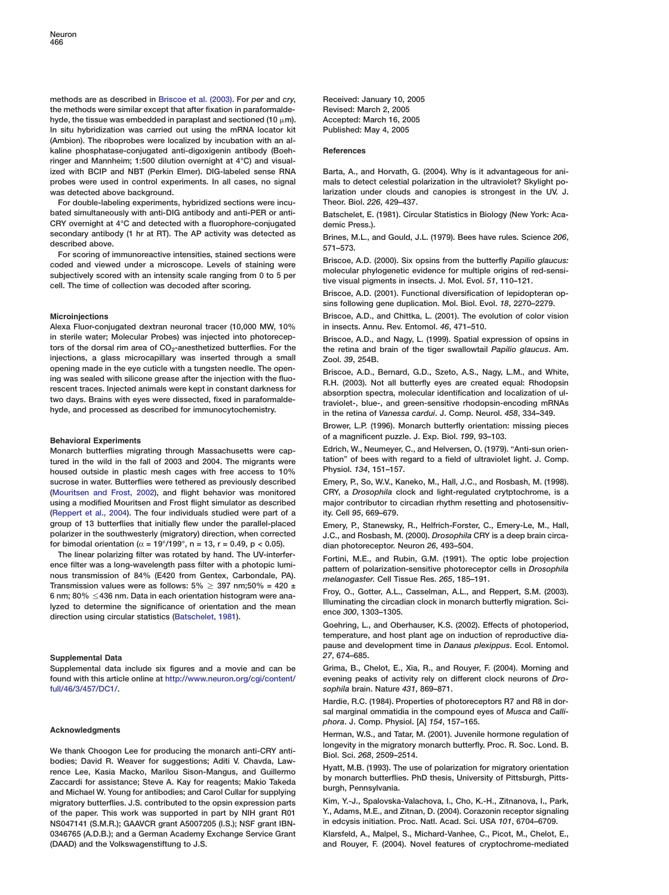methods are as described in [Briscoe et al. \(2003\).](#page-9-0) For *per* and *cry*, Received: January 10, 2005 the methods were similar except that after fixation in paraformalde- Revised: March 2, 2005 hyde, the tissue was embedded in paraplast and sectioned (10  $\mu$ m). Accepted: March 16, 2005 In situ hybridization was carried out using the mRNA locator kit Published: May 4, 2005 (Ambion). The riboprobes were localized by incubation with an alkaline phosphatase-conjugated anti-digoxigenin antibody (Boeh- **References** ringer and Mannheim; 1:500 dilution overnight at 4°C) and visualized with BCIP and NBT (Perkin Elmer). DIG-labeled sense RNA Barta, A., and Horvath, G. (2004). Why is it advantageous for aniprobes were used in control experiments. In all cases, no signal mals to detect celestial polarization in the ultraviolet? Skylight po-

For double-labeling experiments, hybridized sections were incu- Theor. Biol. *226*, 429–437. bated simultaneously with anti-DIG antibody and anti-PER or anti-<br>Batschelet, E. (1981). Circular Statistics in Biology (New York: Aca-CRY overnight at  $4^{\circ}$ C and detected with a fluorophore-conjugated demic Press.).<br>secondary antibody (1 hr at RT). The AP activity was detected as  $\frac{P_{\text{rines}}}{P_{\text{rines}}}$  M is

Coded and viewed under a microscope. Levels of staining were<br>subjectively scored with an intensity scale ranging from 0 to 5 per subjectively scored with an intensity scale ranging from 0 to 5 per subjectively scored with

Alexa Fluor-conjugated dextran neuronal tracer (10,000 MW, 10% in insects. Annu. Rev. Entomol. *46*, 471–510. in sterile water; Molecular Probes) was injected into photorecep-<br>
Initiation and Nagy, L. (1999). Spatial expression of opsins in<br>
the retina and brain of the tiger swallowtail Papilio glaucus. Am. injections, a glass microcapillary was inserted through a small zool. 39, 254B. opening made in the eye cuticle with a tungsten needle. The open-<br>ing was sealed with silicone grease after the injection with the fluo-<br>rescent traces. Injected animals were kept in constant darkness for<br>two days. Brains

tured in the wild in the fall of 2003 and 2004. The migrants were tation" of bees with regard to the boused outside in plastic mesh cages with free access to 10%. Physiol. 134, 151–157. housed outside in plastic mesh cages with free access to 10% sucrose in water. Butterflies were tethered as previously described Emery, P., So, W.V., Kaneko, M., Hall, J.C., and Rosbash, M. (1998). [\(Mouritsen and Frost, 2002\)](#page-10-0), and flight behavior was monitored CRY, a *Drosophila* clock and light-regulated crytptochrome, is a using a modified Mouritsen and Frost flight simulator as described major contributor to circadian rhythm resetting and photosensitiv- [\(Reppert et al., 2004\)](#page-10-0). The four individuals studied were part of a ity. Cell *95*, 669–679. group of 13 butterflies that initially flew under the parallel-placed<br>polarizer in the southwesterly (migratory) direction, when corrected J.C. and Rosbash. M. (2000). Drosophila CRY is a deep brain circafor bimodal orientation (α = 19°/199°, n = 13, r = 0.49, p < 0.05). dian photoreceptor. Neuron *26*, 493–504.

The linear polarizing filter was rotated by hand. The UV-interfer-<br>
ence filter was a long-wavelength pass filter with a photopic lumi-<br>
nous transmission of 84% (E420 from Gentex, Carbondale, PA).<br>
Transmission values we

## **Supplemental Data** *27*, 674–685.

[full/46/3/457/DC1/.](http://www.neuron.org/cgi/content/full/46/3/457/DC1/) *sophila* brain. Nature *431*, 869–871.

<span id="page-9-0"></span>We thank Choogon Lee for producing the monarch anti-CRY anti-<br>
bodies; David R. Weaver for suggestions; Aditi V. Chavda, Law-<br>
rence Lee, Kasia Macko, Marilou Sison-Mangus, and Guillermo<br>
Zaccardi for assistance; Steve A. migratory butterflies. J.S. contributed to the opsin expression parts Kim, Y.-J., Spalovska-Valachova, I., Cho, K.-H., Zitnanova, I., Park, of the paper. This work was supported in part by NIH grant R01 Y., Adams, M.E., an of the paper. This work was supported in part by NIH grant R01 Y., Adams, M.E., and Zitnan, D. (2004). Corazonin receptor signali<br>NS047141 (S.M.R.): GAAVCR grant A5007205 (I.S.): NSF grant IBN- in edcysis initiation. Proc. NS047141 (S.M.R.); GAAVCR grant A5007205 (I.S.); NSF grant IBN-0346765 (A.D.B.); and a German Academy Exchange Service Grant Klarsfeld, A., Malpel, S., Michard-Vanhee, C., Picot, M., Chelot, E., (DAAD) and the Volkswagenstiftung to J.S. and Rouyer, F. (2004). Novel features of cryptochrome-mediated

was detected above background. larization under clouds and canopies is strongest in the UV. J.

secondary antibody (1 hr at RT). The AP activity was detected as Brines, M.L., and Gould, J.L. (1979). Bees have rules. Science 206, described above.<br>571–573. 571–573.

Briscoe, A.D. (2001). Functional diversification of lepidopteran opsins following gene duplication. Mol. Biol. Evol. *18*, 2270–2279.

**Microinjections** Briscoe, A.D., and Chittka, L. (2001). The evolution of color vision

the retina and brain of the tiger swallowtail Papilio glaucus. Am.

Brower, L.P. (1996). Monarch butterfly orientation: missing pieces of a magnificent puzzle. J. Exp. Biol. *<sup>199</sup>*, 93–103. **Behavioral Experiments**

Monarch butterflies migrating through Massachusetts were cap-<br>tured in the wild in the fall of 2003 and 2004. The migrants were tation" of bees with regard to a field of ultraviolet light. J. Comp.

J.C., and Rosbash, M. (2000). *Drosophila* CRY is a deep brain circa-

Goehring, L., and Oberhauser, K.S. (2002). Effects of photoperiod, temperature, and host plant age on induction of reproductive diapause and development time in *Danaus plexippus*. Ecol. Entomol.

Supplemental data include six figures and a movie and can be Grima, B., Chelot, E., Xia, R., and Rouyer, F. (2004). Morning and found with this article online at [http://www.neuron.org/cgi/content/](http://www.neuron.org/cgi/content/full/46/3/457/DC1/) evening peaks of activity rely on different clock neurons of *Dro-*

> Hardie, R.C. (1984). Properties of photoreceptors R7 and R8 in dorsal marginal ommatidia in the compound eyes of *Musca* and *Calliphora*. J. Comp. Physiol. [A] *154*, 157–165.

Acknowledgments<br>
Herman, W.S., and Tatar, M. (2001). Juvenile hormone regulation of